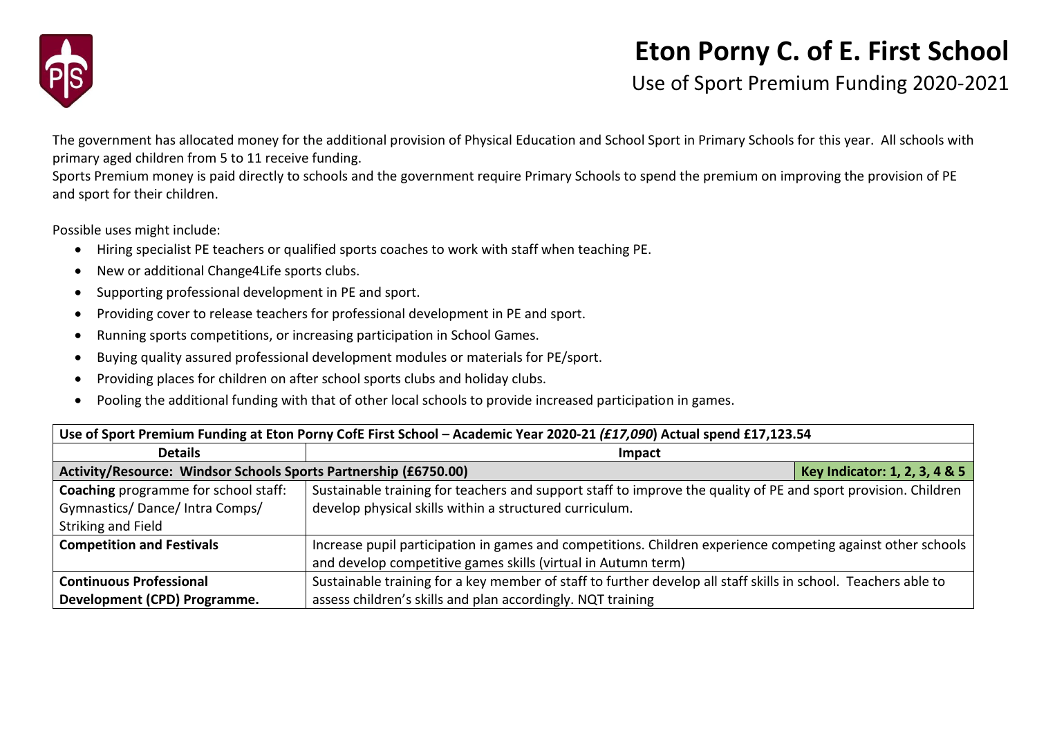

## **Eton Porny C. of E. First School**

Use of Sport Premium Funding 2020-2021

The government has allocated money for the additional provision of Physical Education and School Sport in Primary Schools for this year. All schools with primary aged children from 5 to 11 receive funding.

Sports Premium money is paid directly to schools and the government require Primary Schools to spend the premium on improving the provision of PE and sport for their children.

Possible uses might include:

- Hiring specialist PE teachers or qualified sports coaches to work with staff when teaching PE.
- New or additional Change4Life sports clubs.
- Supporting professional development in PE and sport.
- Providing cover to release teachers for professional development in PE and sport.
- Running sports competitions, or increasing participation in School Games.
- Buying quality assured professional development modules or materials for PE/sport.
- Providing places for children on after school sports clubs and holiday clubs.
- Pooling the additional funding with that of other local schools to provide increased participation in games.

| Use of Sport Premium Funding at Eton Porny CofE First School - Academic Year 2020-21 (£17,090) Actual spend £17,123.54 |                                                                                                                |                               |  |  |
|------------------------------------------------------------------------------------------------------------------------|----------------------------------------------------------------------------------------------------------------|-------------------------------|--|--|
| <b>Details</b>                                                                                                         | <b>Impact</b>                                                                                                  |                               |  |  |
| Activity/Resource: Windsor Schools Sports Partnership (£6750.00)                                                       |                                                                                                                | Key Indicator: 1, 2, 3, 4 & 5 |  |  |
| <b>Coaching</b> programme for school staff:                                                                            | Sustainable training for teachers and support staff to improve the quality of PE and sport provision. Children |                               |  |  |
| Gymnastics/Dance/Intra Comps/                                                                                          | develop physical skills within a structured curriculum.                                                        |                               |  |  |
| Striking and Field                                                                                                     |                                                                                                                |                               |  |  |
| <b>Competition and Festivals</b>                                                                                       | Increase pupil participation in games and competitions. Children experience competing against other schools    |                               |  |  |
|                                                                                                                        | and develop competitive games skills (virtual in Autumn term)                                                  |                               |  |  |
| <b>Continuous Professional</b>                                                                                         | Sustainable training for a key member of staff to further develop all staff skills in school. Teachers able to |                               |  |  |
| Development (CPD) Programme.                                                                                           | assess children's skills and plan accordingly. NQT training                                                    |                               |  |  |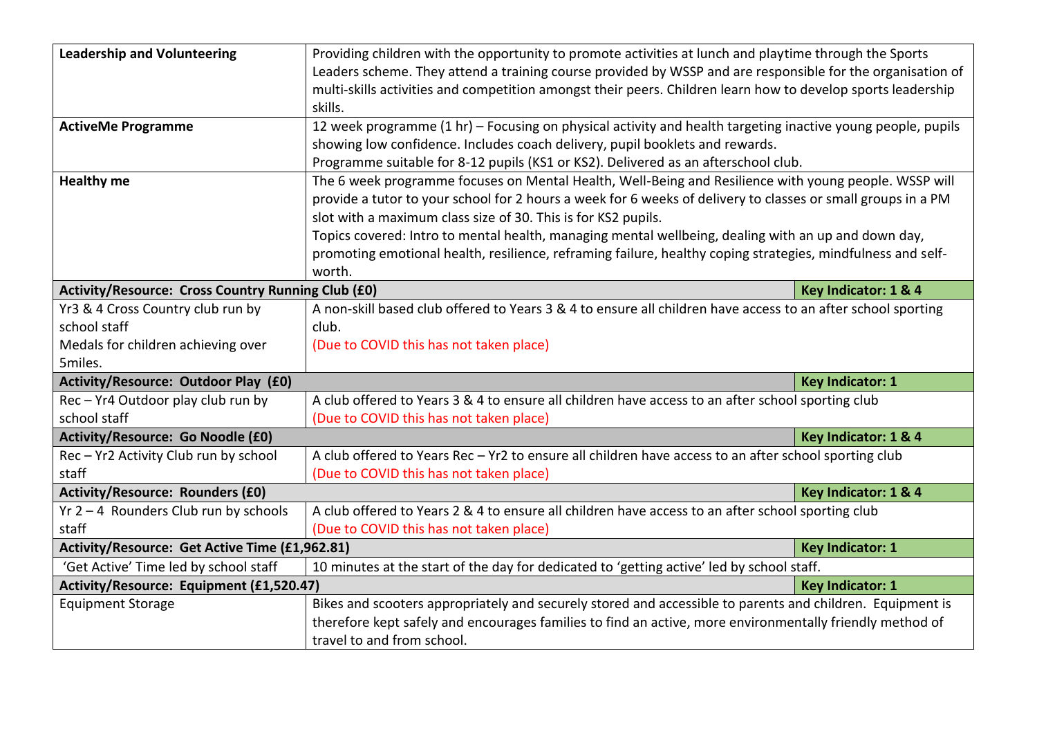| <b>Leadership and Volunteering</b>                 | Providing children with the opportunity to promote activities at lunch and playtime through the Sports<br>Leaders scheme. They attend a training course provided by WSSP and are responsible for the organisation of |                         |  |
|----------------------------------------------------|----------------------------------------------------------------------------------------------------------------------------------------------------------------------------------------------------------------------|-------------------------|--|
|                                                    | multi-skills activities and competition amongst their peers. Children learn how to develop sports leadership                                                                                                         |                         |  |
|                                                    | skills.                                                                                                                                                                                                              |                         |  |
| <b>ActiveMe Programme</b>                          | 12 week programme (1 hr) - Focusing on physical activity and health targeting inactive young people, pupils                                                                                                          |                         |  |
|                                                    | showing low confidence. Includes coach delivery, pupil booklets and rewards.                                                                                                                                         |                         |  |
|                                                    | Programme suitable for 8-12 pupils (KS1 or KS2). Delivered as an afterschool club.                                                                                                                                   |                         |  |
| <b>Healthy me</b>                                  | The 6 week programme focuses on Mental Health, Well-Being and Resilience with young people. WSSP will                                                                                                                |                         |  |
|                                                    | provide a tutor to your school for 2 hours a week for 6 weeks of delivery to classes or small groups in a PM                                                                                                         |                         |  |
|                                                    | slot with a maximum class size of 30. This is for KS2 pupils.                                                                                                                                                        |                         |  |
|                                                    | Topics covered: Intro to mental health, managing mental wellbeing, dealing with an up and down day,                                                                                                                  |                         |  |
|                                                    | promoting emotional health, resilience, reframing failure, healthy coping strategies, mindfulness and self-                                                                                                          |                         |  |
|                                                    | worth.                                                                                                                                                                                                               |                         |  |
| Activity/Resource: Cross Country Running Club (£0) |                                                                                                                                                                                                                      | Key Indicator: 1 & 4    |  |
| Yr3 & 4 Cross Country club run by                  | A non-skill based club offered to Years 3 & 4 to ensure all children have access to an after school sporting                                                                                                         |                         |  |
| school staff                                       | club.                                                                                                                                                                                                                |                         |  |
| Medals for children achieving over                 | (Due to COVID this has not taken place)                                                                                                                                                                              |                         |  |
| 5miles.                                            |                                                                                                                                                                                                                      |                         |  |
| Activity/Resource: Outdoor Play (£0)               |                                                                                                                                                                                                                      | <b>Key Indicator: 1</b> |  |
| Rec - Yr4 Outdoor play club run by                 | A club offered to Years 3 & 4 to ensure all children have access to an after school sporting club                                                                                                                    |                         |  |
| school staff                                       | (Due to COVID this has not taken place)                                                                                                                                                                              |                         |  |
| <b>Activity/Resource: Go Noodle (£0)</b>           | Key Indicator: 1 & 4                                                                                                                                                                                                 |                         |  |
| Rec - Yr2 Activity Club run by school              | A club offered to Years Rec - Yr2 to ensure all children have access to an after school sporting club                                                                                                                |                         |  |
| staff                                              | (Due to COVID this has not taken place)                                                                                                                                                                              |                         |  |
| <b>Activity/Resource: Rounders (£0)</b>            |                                                                                                                                                                                                                      | Key Indicator: 1 & 4    |  |
| $Yr$ 2 – 4 Rounders Club run by schools            | A club offered to Years 2 & 4 to ensure all children have access to an after school sporting club                                                                                                                    |                         |  |
| staff                                              | (Due to COVID this has not taken place)                                                                                                                                                                              |                         |  |
| Activity/Resource: Get Active Time (£1,962.81)     |                                                                                                                                                                                                                      | <b>Key Indicator: 1</b> |  |
| 'Get Active' Time led by school staff              | 10 minutes at the start of the day for dedicated to 'getting active' led by school staff.                                                                                                                            |                         |  |
| Activity/Resource: Equipment (£1,520.47)           |                                                                                                                                                                                                                      | <b>Key Indicator: 1</b> |  |
| <b>Equipment Storage</b>                           | Bikes and scooters appropriately and securely stored and accessible to parents and children. Equipment is                                                                                                            |                         |  |
|                                                    | therefore kept safely and encourages families to find an active, more environmentally friendly method of                                                                                                             |                         |  |
|                                                    | travel to and from school.                                                                                                                                                                                           |                         |  |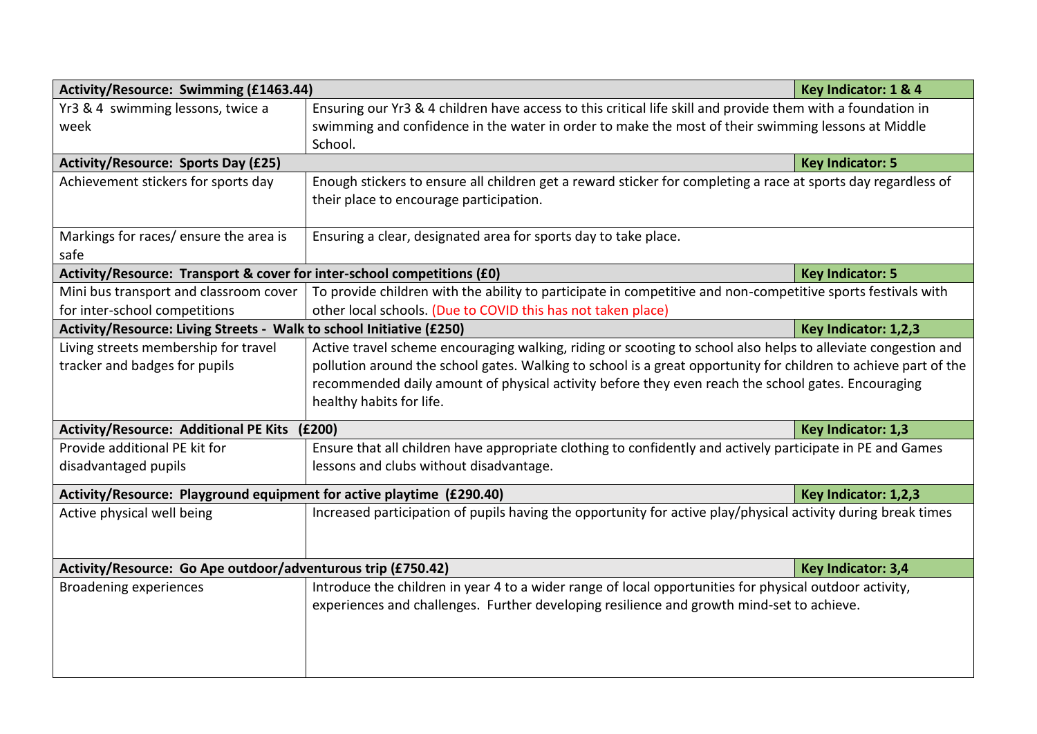| Activity/Resource: Swimming (£1463.44)                                                        |                                                                                                                 | Key Indicator: 1 & 4    |  |
|-----------------------------------------------------------------------------------------------|-----------------------------------------------------------------------------------------------------------------|-------------------------|--|
| Yr3 & 4 swimming lessons, twice a                                                             | Ensuring our Yr3 & 4 children have access to this critical life skill and provide them with a foundation in     |                         |  |
| week                                                                                          | swimming and confidence in the water in order to make the most of their swimming lessons at Middle              |                         |  |
|                                                                                               | School.                                                                                                         |                         |  |
| <b>Activity/Resource: Sports Day (£25)</b>                                                    |                                                                                                                 | <b>Key Indicator: 5</b> |  |
| Achievement stickers for sports day                                                           | Enough stickers to ensure all children get a reward sticker for completing a race at sports day regardless of   |                         |  |
|                                                                                               | their place to encourage participation.                                                                         |                         |  |
|                                                                                               |                                                                                                                 |                         |  |
| Markings for races/ ensure the area is                                                        | Ensuring a clear, designated area for sports day to take place.                                                 |                         |  |
| safe                                                                                          |                                                                                                                 |                         |  |
| Activity/Resource: Transport & cover for inter-school competitions (£0)                       |                                                                                                                 | <b>Key Indicator: 5</b> |  |
| Mini bus transport and classroom cover                                                        | To provide children with the ability to participate in competitive and non-competitive sports festivals with    |                         |  |
| other local schools. (Due to COVID this has not taken place)<br>for inter-school competitions |                                                                                                                 |                         |  |
| Activity/Resource: Living Streets - Walk to school Initiative (£250)                          |                                                                                                                 | Key Indicator: 1,2,3    |  |
| Living streets membership for travel                                                          | Active travel scheme encouraging walking, riding or scooting to school also helps to alleviate congestion and   |                         |  |
| tracker and badges for pupils                                                                 | pollution around the school gates. Walking to school is a great opportunity for children to achieve part of the |                         |  |
|                                                                                               | recommended daily amount of physical activity before they even reach the school gates. Encouraging              |                         |  |
|                                                                                               | healthy habits for life.                                                                                        |                         |  |
| Activity/Resource: Additional PE Kits (£200)                                                  |                                                                                                                 | Key Indicator: 1,3      |  |
| Provide additional PE kit for                                                                 | Ensure that all children have appropriate clothing to confidently and actively participate in PE and Games      |                         |  |
| disadvantaged pupils                                                                          | lessons and clubs without disadvantage.                                                                         |                         |  |
|                                                                                               | Activity/Resource: Playground equipment for active playtime (£290.40)<br>Key Indicator: 1,2,3                   |                         |  |
| Active physical well being                                                                    | Increased participation of pupils having the opportunity for active play/physical activity during break times   |                         |  |
|                                                                                               |                                                                                                                 |                         |  |
|                                                                                               |                                                                                                                 |                         |  |
| Activity/Resource: Go Ape outdoor/adventurous trip (£750.42)                                  |                                                                                                                 | Key Indicator: 3,4      |  |
| Broadening experiences                                                                        | Introduce the children in year 4 to a wider range of local opportunities for physical outdoor activity,         |                         |  |
|                                                                                               | experiences and challenges. Further developing resilience and growth mind-set to achieve.                       |                         |  |
|                                                                                               |                                                                                                                 |                         |  |
|                                                                                               |                                                                                                                 |                         |  |
|                                                                                               |                                                                                                                 |                         |  |
|                                                                                               |                                                                                                                 |                         |  |